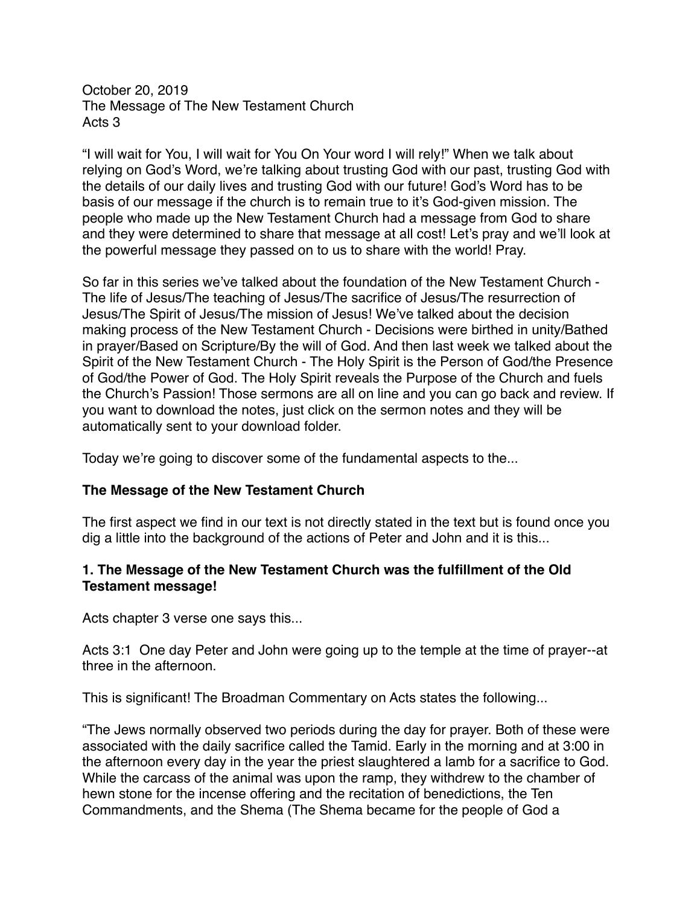October 20, 2019 The Message of The New Testament Church Acts 3

"I will wait for You, I will wait for You On Your word I will rely!" When we talk about relying on God's Word, we're talking about trusting God with our past, trusting God with the details of our daily lives and trusting God with our future! God's Word has to be basis of our message if the church is to remain true to it's God-given mission. The people who made up the New Testament Church had a message from God to share and they were determined to share that message at all cost! Let's pray and we'll look at the powerful message they passed on to us to share with the world! Pray.

So far in this series we've talked about the foundation of the New Testament Church - The life of Jesus/The teaching of Jesus/The sacrifice of Jesus/The resurrection of Jesus/The Spirit of Jesus/The mission of Jesus! We've talked about the decision making process of the New Testament Church - Decisions were birthed in unity/Bathed in prayer/Based on Scripture/By the will of God. And then last week we talked about the Spirit of the New Testament Church - The Holy Spirit is the Person of God/the Presence of God/the Power of God. The Holy Spirit reveals the Purpose of the Church and fuels the Church's Passion! Those sermons are all on line and you can go back and review. If you want to download the notes, just click on the sermon notes and they will be automatically sent to your download folder.

Today we're going to discover some of the fundamental aspects to the...

### **The Message of the New Testament Church**

The first aspect we find in our text is not directly stated in the text but is found once you dig a little into the background of the actions of Peter and John and it is this...

### **1. The Message of the New Testament Church was the fulfillment of the Old Testament message!**

Acts chapter 3 verse one says this...

Acts 3:1 One day Peter and John were going up to the temple at the time of prayer--at three in the afternoon.

This is significant! The Broadman Commentary on Acts states the following...

"The Jews normally observed two periods during the day for prayer. Both of these were associated with the daily sacrifice called the Tamid. Early in the morning and at 3:00 in the afternoon every day in the year the priest slaughtered a lamb for a sacrifice to God. While the carcass of the animal was upon the ramp, they withdrew to the chamber of hewn stone for the incense offering and the recitation of benedictions, the Ten Commandments, and the Shema (The Shema became for the people of God a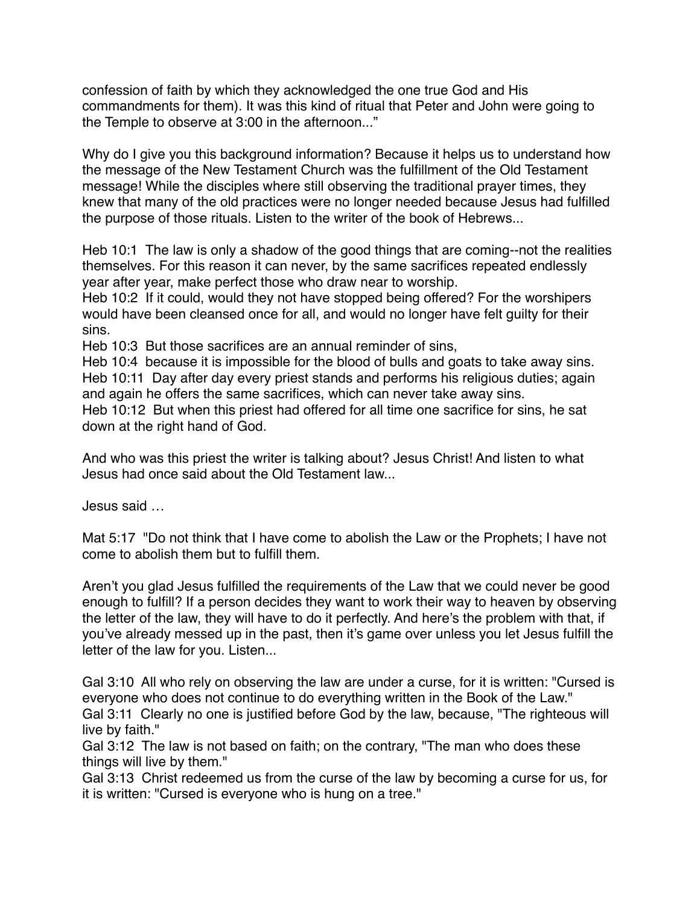confession of faith by which they acknowledged the one true God and His commandments for them). It was this kind of ritual that Peter and John were going to the Temple to observe at 3:00 in the afternoon..."

Why do I give you this background information? Because it helps us to understand how the message of the New Testament Church was the fulfillment of the Old Testament message! While the disciples where still observing the traditional prayer times, they knew that many of the old practices were no longer needed because Jesus had fulfilled the purpose of those rituals. Listen to the writer of the book of Hebrews...

Heb 10:1 The law is only a shadow of the good things that are coming--not the realities themselves. For this reason it can never, by the same sacrifices repeated endlessly year after year, make perfect those who draw near to worship.

Heb 10:2 If it could, would they not have stopped being offered? For the worshipers would have been cleansed once for all, and would no longer have felt guilty for their sins.

Heb 10:3 But those sacrifices are an annual reminder of sins,

Heb 10:4 because it is impossible for the blood of bulls and goats to take away sins. Heb 10:11 Day after day every priest stands and performs his religious duties; again and again he offers the same sacrifices, which can never take away sins.

Heb 10:12 But when this priest had offered for all time one sacrifice for sins, he sat down at the right hand of God.

And who was this priest the writer is talking about? Jesus Christ! And listen to what Jesus had once said about the Old Testament law...

Jesus said …

Mat 5:17 "Do not think that I have come to abolish the Law or the Prophets; I have not come to abolish them but to fulfill them.

Aren't you glad Jesus fulfilled the requirements of the Law that we could never be good enough to fulfill? If a person decides they want to work their way to heaven by observing the letter of the law, they will have to do it perfectly. And here's the problem with that, if you've already messed up in the past, then it's game over unless you let Jesus fulfill the letter of the law for you. Listen...

Gal 3:10 All who rely on observing the law are under a curse, for it is written: "Cursed is everyone who does not continue to do everything written in the Book of the Law." Gal 3:11 Clearly no one is justified before God by the law, because, "The righteous will live by faith."

Gal 3:12 The law is not based on faith; on the contrary, "The man who does these things will live by them."

Gal 3:13 Christ redeemed us from the curse of the law by becoming a curse for us, for it is written: "Cursed is everyone who is hung on a tree."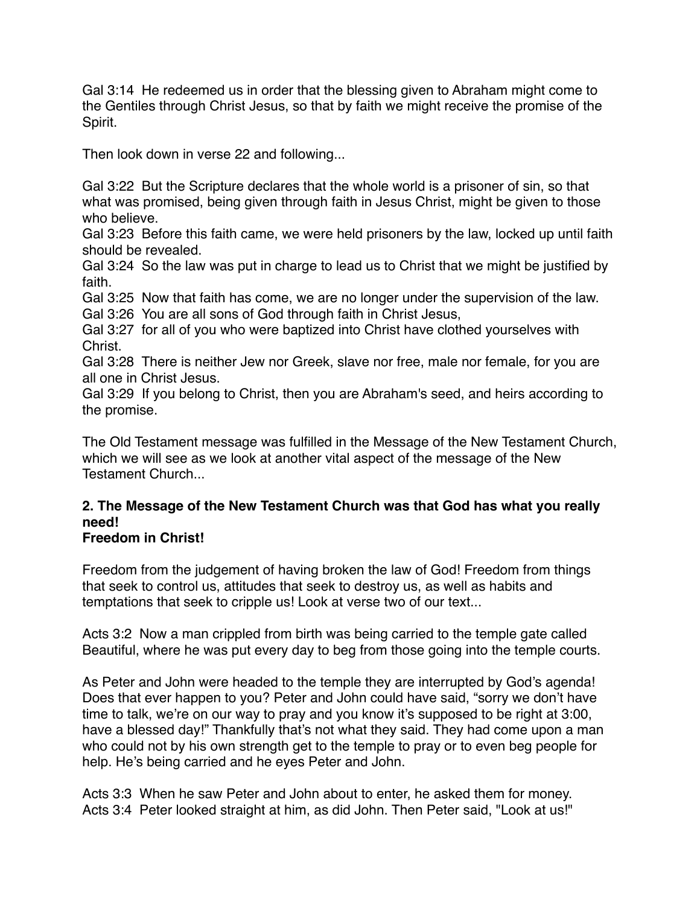Gal 3:14 He redeemed us in order that the blessing given to Abraham might come to the Gentiles through Christ Jesus, so that by faith we might receive the promise of the Spirit.

Then look down in verse 22 and following...

Gal 3:22 But the Scripture declares that the whole world is a prisoner of sin, so that what was promised, being given through faith in Jesus Christ, might be given to those who believe.

Gal 3:23 Before this faith came, we were held prisoners by the law, locked up until faith should be revealed.

Gal 3:24 So the law was put in charge to lead us to Christ that we might be justified by faith.

Gal 3:25 Now that faith has come, we are no longer under the supervision of the law. Gal 3:26 You are all sons of God through faith in Christ Jesus,

Gal 3:27 for all of you who were baptized into Christ have clothed yourselves with Christ.

Gal 3:28 There is neither Jew nor Greek, slave nor free, male nor female, for you are all one in Christ Jesus.

Gal 3:29 If you belong to Christ, then you are Abraham's seed, and heirs according to the promise.

The Old Testament message was fulfilled in the Message of the New Testament Church, which we will see as we look at another vital aspect of the message of the New Testament Church...

# **2. The Message of the New Testament Church was that God has what you really need!**

## **Freedom in Christ!**

Freedom from the judgement of having broken the law of God! Freedom from things that seek to control us, attitudes that seek to destroy us, as well as habits and temptations that seek to cripple us! Look at verse two of our text...

Acts 3:2 Now a man crippled from birth was being carried to the temple gate called Beautiful, where he was put every day to beg from those going into the temple courts.

As Peter and John were headed to the temple they are interrupted by God's agenda! Does that ever happen to you? Peter and John could have said, "sorry we don't have time to talk, we're on our way to pray and you know it's supposed to be right at 3:00, have a blessed day!" Thankfully that's not what they said. They had come upon a man who could not by his own strength get to the temple to pray or to even beg people for help. He's being carried and he eyes Peter and John.

Acts 3:3 When he saw Peter and John about to enter, he asked them for money. Acts 3:4 Peter looked straight at him, as did John. Then Peter said, "Look at us!"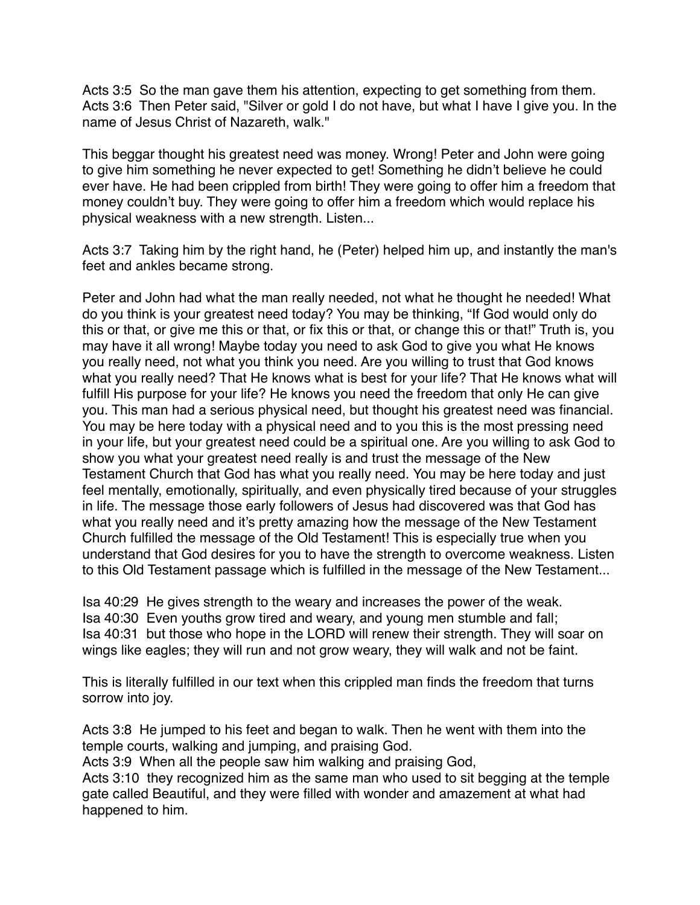Acts 3:5 So the man gave them his attention, expecting to get something from them. Acts 3:6 Then Peter said, "Silver or gold I do not have, but what I have I give you. In the name of Jesus Christ of Nazareth, walk."

This beggar thought his greatest need was money. Wrong! Peter and John were going to give him something he never expected to get! Something he didn't believe he could ever have. He had been crippled from birth! They were going to offer him a freedom that money couldn't buy. They were going to offer him a freedom which would replace his physical weakness with a new strength. Listen...

Acts 3:7 Taking him by the right hand, he (Peter) helped him up, and instantly the man's feet and ankles became strong.

Peter and John had what the man really needed, not what he thought he needed! What do you think is your greatest need today? You may be thinking, "If God would only do this or that, or give me this or that, or fix this or that, or change this or that!" Truth is, you may have it all wrong! Maybe today you need to ask God to give you what He knows you really need, not what you think you need. Are you willing to trust that God knows what you really need? That He knows what is best for your life? That He knows what will fulfill His purpose for your life? He knows you need the freedom that only He can give you. This man had a serious physical need, but thought his greatest need was financial. You may be here today with a physical need and to you this is the most pressing need in your life, but your greatest need could be a spiritual one. Are you willing to ask God to show you what your greatest need really is and trust the message of the New Testament Church that God has what you really need. You may be here today and just feel mentally, emotionally, spiritually, and even physically tired because of your struggles in life. The message those early followers of Jesus had discovered was that God has what you really need and it's pretty amazing how the message of the New Testament Church fulfilled the message of the Old Testament! This is especially true when you understand that God desires for you to have the strength to overcome weakness. Listen to this Old Testament passage which is fulfilled in the message of the New Testament...

Isa 40:29 He gives strength to the weary and increases the power of the weak. Isa 40:30 Even youths grow tired and weary, and young men stumble and fall; Isa 40:31 but those who hope in the LORD will renew their strength. They will soar on wings like eagles; they will run and not grow weary, they will walk and not be faint.

This is literally fulfilled in our text when this crippled man finds the freedom that turns sorrow into joy.

Acts 3:8 He jumped to his feet and began to walk. Then he went with them into the temple courts, walking and jumping, and praising God.

Acts 3:9 When all the people saw him walking and praising God,

Acts 3:10 they recognized him as the same man who used to sit begging at the temple gate called Beautiful, and they were filled with wonder and amazement at what had happened to him.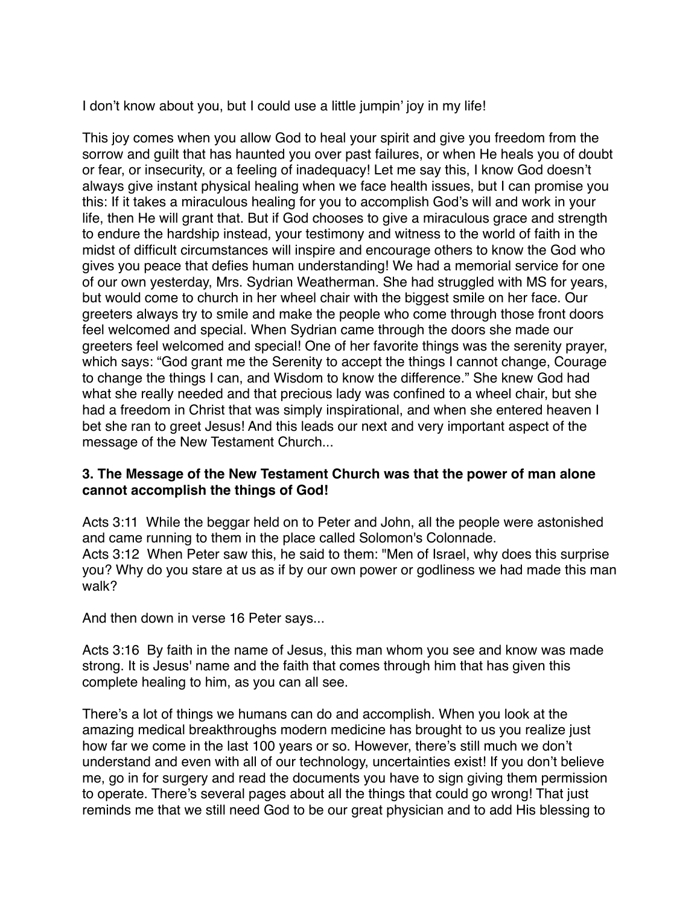I don't know about you, but I could use a little jumpin' joy in my life!

This joy comes when you allow God to heal your spirit and give you freedom from the sorrow and guilt that has haunted you over past failures, or when He heals you of doubt or fear, or insecurity, or a feeling of inadequacy! Let me say this, I know God doesn't always give instant physical healing when we face health issues, but I can promise you this: If it takes a miraculous healing for you to accomplish God's will and work in your life, then He will grant that. But if God chooses to give a miraculous grace and strength to endure the hardship instead, your testimony and witness to the world of faith in the midst of difficult circumstances will inspire and encourage others to know the God who gives you peace that defies human understanding! We had a memorial service for one of our own yesterday, Mrs. Sydrian Weatherman. She had struggled with MS for years, but would come to church in her wheel chair with the biggest smile on her face. Our greeters always try to smile and make the people who come through those front doors feel welcomed and special. When Sydrian came through the doors she made our greeters feel welcomed and special! One of her favorite things was the serenity prayer, which says: "God grant me the Serenity to accept the things I cannot change, Courage to change the things I can, and Wisdom to know the difference." She knew God had what she really needed and that precious lady was confined to a wheel chair, but she had a freedom in Christ that was simply inspirational, and when she entered heaven I bet she ran to greet Jesus! And this leads our next and very important aspect of the message of the New Testament Church...

### **3. The Message of the New Testament Church was that the power of man alone cannot accomplish the things of God!**

Acts 3:11 While the beggar held on to Peter and John, all the people were astonished and came running to them in the place called Solomon's Colonnade. Acts 3:12 When Peter saw this, he said to them: "Men of Israel, why does this surprise you? Why do you stare at us as if by our own power or godliness we had made this man walk?

And then down in verse 16 Peter says...

Acts 3:16 By faith in the name of Jesus, this man whom you see and know was made strong. It is Jesus' name and the faith that comes through him that has given this complete healing to him, as you can all see.

There's a lot of things we humans can do and accomplish. When you look at the amazing medical breakthroughs modern medicine has brought to us you realize just how far we come in the last 100 years or so. However, there's still much we don't understand and even with all of our technology, uncertainties exist! If you don't believe me, go in for surgery and read the documents you have to sign giving them permission to operate. There's several pages about all the things that could go wrong! That just reminds me that we still need God to be our great physician and to add His blessing to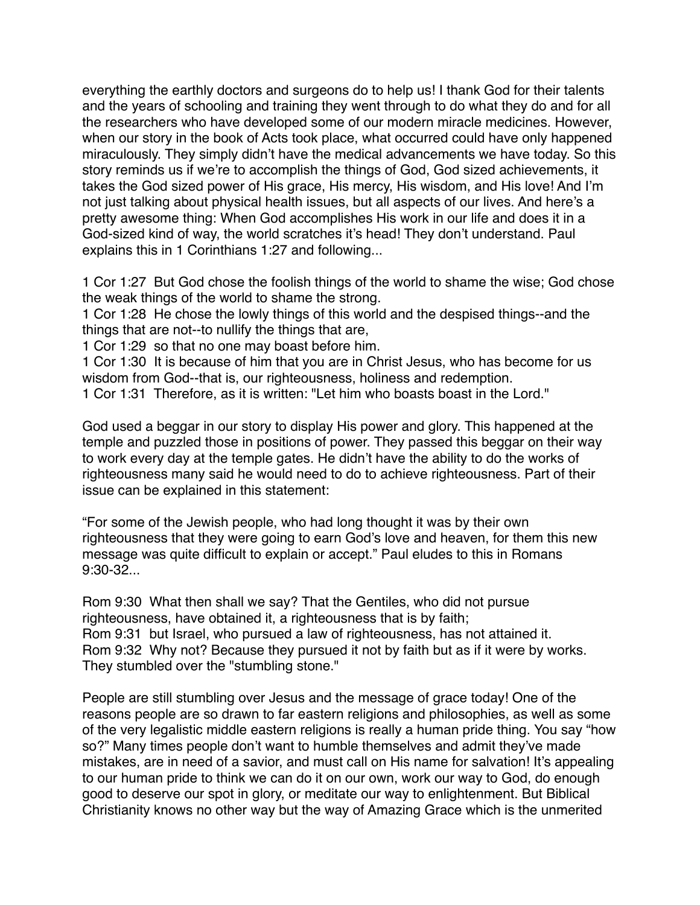everything the earthly doctors and surgeons do to help us! I thank God for their talents and the years of schooling and training they went through to do what they do and for all the researchers who have developed some of our modern miracle medicines. However, when our story in the book of Acts took place, what occurred could have only happened miraculously. They simply didn't have the medical advancements we have today. So this story reminds us if we're to accomplish the things of God, God sized achievements, it takes the God sized power of His grace, His mercy, His wisdom, and His love! And I'm not just talking about physical health issues, but all aspects of our lives. And here's a pretty awesome thing: When God accomplishes His work in our life and does it in a God-sized kind of way, the world scratches it's head! They don't understand. Paul explains this in 1 Corinthians 1:27 and following...

1 Cor 1:27 But God chose the foolish things of the world to shame the wise; God chose the weak things of the world to shame the strong.

1 Cor 1:28 He chose the lowly things of this world and the despised things--and the things that are not--to nullify the things that are,

1 Cor 1:29 so that no one may boast before him.

1 Cor 1:30 It is because of him that you are in Christ Jesus, who has become for us wisdom from God--that is, our righteousness, holiness and redemption.

1 Cor 1:31 Therefore, as it is written: "Let him who boasts boast in the Lord."

God used a beggar in our story to display His power and glory. This happened at the temple and puzzled those in positions of power. They passed this beggar on their way to work every day at the temple gates. He didn't have the ability to do the works of righteousness many said he would need to do to achieve righteousness. Part of their issue can be explained in this statement:

"For some of the Jewish people, who had long thought it was by their own righteousness that they were going to earn God's love and heaven, for them this new message was quite difficult to explain or accept." Paul eludes to this in Romans 9:30-32...

Rom 9:30 What then shall we say? That the Gentiles, who did not pursue righteousness, have obtained it, a righteousness that is by faith; Rom 9:31 but Israel, who pursued a law of righteousness, has not attained it. Rom 9:32 Why not? Because they pursued it not by faith but as if it were by works. They stumbled over the "stumbling stone."

People are still stumbling over Jesus and the message of grace today! One of the reasons people are so drawn to far eastern religions and philosophies, as well as some of the very legalistic middle eastern religions is really a human pride thing. You say "how so?" Many times people don't want to humble themselves and admit they've made mistakes, are in need of a savior, and must call on His name for salvation! It's appealing to our human pride to think we can do it on our own, work our way to God, do enough good to deserve our spot in glory, or meditate our way to enlightenment. But Biblical Christianity knows no other way but the way of Amazing Grace which is the unmerited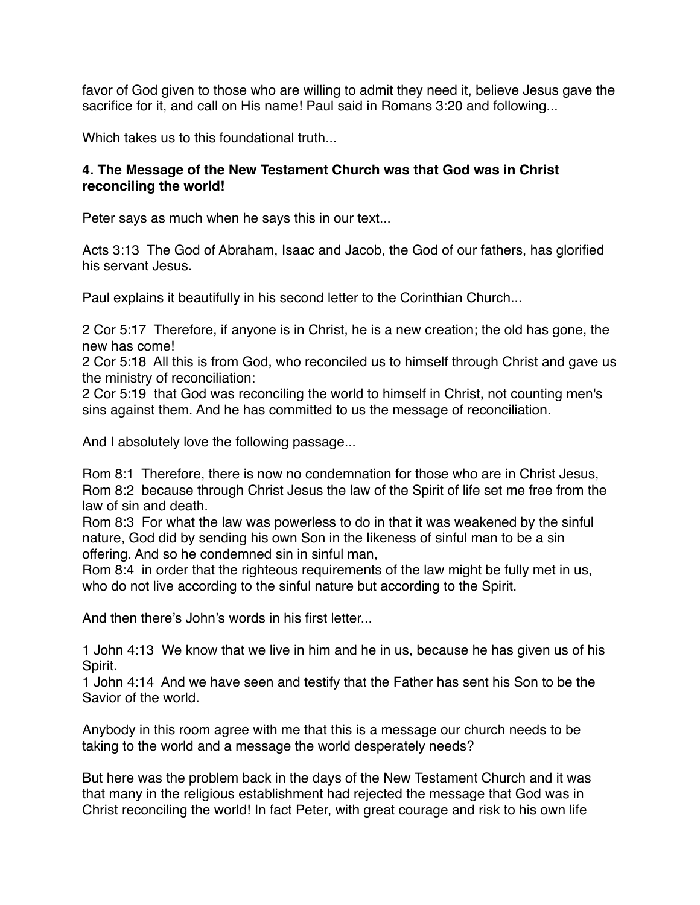favor of God given to those who are willing to admit they need it, believe Jesus gave the sacrifice for it, and call on His name! Paul said in Romans 3:20 and following...

Which takes us to this foundational truth...

### **4. The Message of the New Testament Church was that God was in Christ reconciling the world!**

Peter says as much when he says this in our text...

Acts 3:13 The God of Abraham, Isaac and Jacob, the God of our fathers, has glorified his servant Jesus.

Paul explains it beautifully in his second letter to the Corinthian Church...

2 Cor 5:17 Therefore, if anyone is in Christ, he is a new creation; the old has gone, the new has come!

2 Cor 5:18 All this is from God, who reconciled us to himself through Christ and gave us the ministry of reconciliation:

2 Cor 5:19 that God was reconciling the world to himself in Christ, not counting men's sins against them. And he has committed to us the message of reconciliation.

And I absolutely love the following passage...

Rom 8:1 Therefore, there is now no condemnation for those who are in Christ Jesus, Rom 8:2 because through Christ Jesus the law of the Spirit of life set me free from the law of sin and death.

Rom 8:3 For what the law was powerless to do in that it was weakened by the sinful nature, God did by sending his own Son in the likeness of sinful man to be a sin offering. And so he condemned sin in sinful man,

Rom 8:4 in order that the righteous requirements of the law might be fully met in us, who do not live according to the sinful nature but according to the Spirit.

And then there's John's words in his first letter...

1 John 4:13 We know that we live in him and he in us, because he has given us of his Spirit.

1 John 4:14 And we have seen and testify that the Father has sent his Son to be the Savior of the world.

Anybody in this room agree with me that this is a message our church needs to be taking to the world and a message the world desperately needs?

But here was the problem back in the days of the New Testament Church and it was that many in the religious establishment had rejected the message that God was in Christ reconciling the world! In fact Peter, with great courage and risk to his own life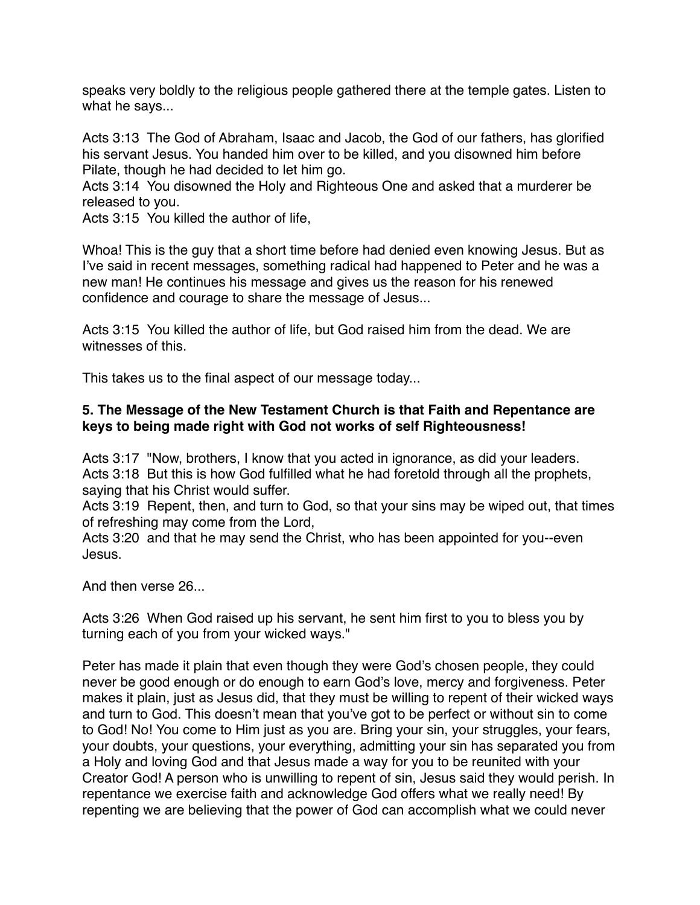speaks very boldly to the religious people gathered there at the temple gates. Listen to what he says...

Acts 3:13 The God of Abraham, Isaac and Jacob, the God of our fathers, has glorified his servant Jesus. You handed him over to be killed, and you disowned him before Pilate, though he had decided to let him go.

Acts 3:14 You disowned the Holy and Righteous One and asked that a murderer be released to you.

Acts 3:15 You killed the author of life,

Whoa! This is the guy that a short time before had denied even knowing Jesus. But as I've said in recent messages, something radical had happened to Peter and he was a new man! He continues his message and gives us the reason for his renewed confidence and courage to share the message of Jesus...

Acts 3:15 You killed the author of life, but God raised him from the dead. We are witnesses of this.

This takes us to the final aspect of our message today...

### **5. The Message of the New Testament Church is that Faith and Repentance are keys to being made right with God not works of self Righteousness!**

Acts 3:17 "Now, brothers, I know that you acted in ignorance, as did your leaders. Acts 3:18 But this is how God fulfilled what he had foretold through all the prophets, saying that his Christ would suffer.

Acts 3:19 Repent, then, and turn to God, so that your sins may be wiped out, that times of refreshing may come from the Lord,

Acts 3:20 and that he may send the Christ, who has been appointed for you--even Jesus.

And then verse 26...

Acts 3:26 When God raised up his servant, he sent him first to you to bless you by turning each of you from your wicked ways."

Peter has made it plain that even though they were God's chosen people, they could never be good enough or do enough to earn God's love, mercy and forgiveness. Peter makes it plain, just as Jesus did, that they must be willing to repent of their wicked ways and turn to God. This doesn't mean that you've got to be perfect or without sin to come to God! No! You come to Him just as you are. Bring your sin, your struggles, your fears, your doubts, your questions, your everything, admitting your sin has separated you from a Holy and loving God and that Jesus made a way for you to be reunited with your Creator God! A person who is unwilling to repent of sin, Jesus said they would perish. In repentance we exercise faith and acknowledge God offers what we really need! By repenting we are believing that the power of God can accomplish what we could never